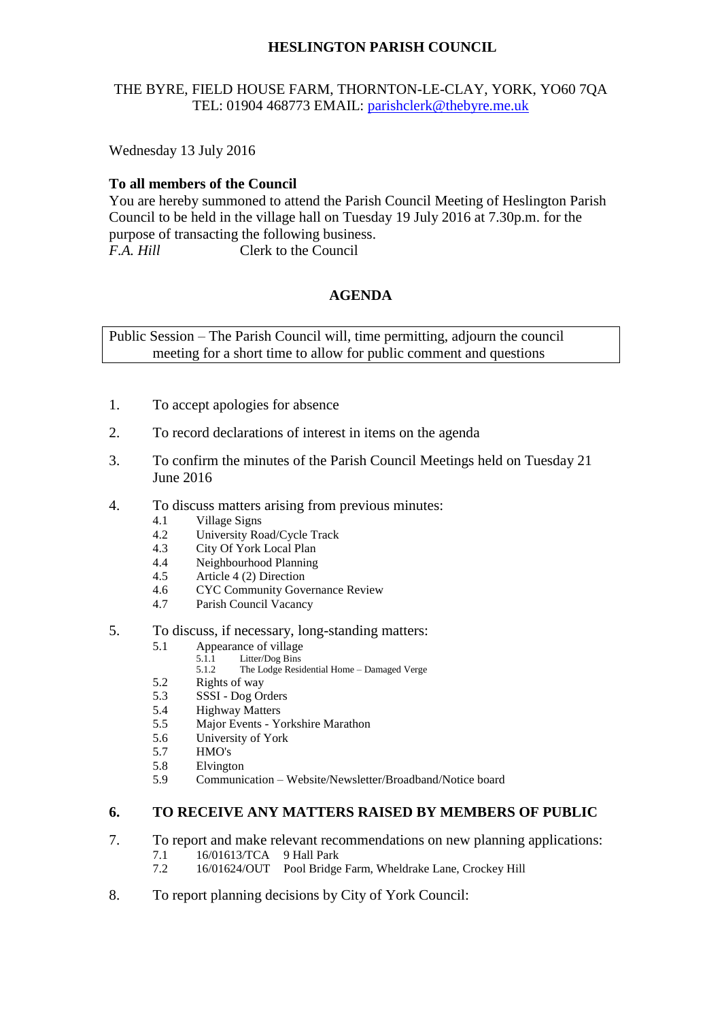# **HESLINGTON PARISH COUNCIL**

## THE BYRE, FIELD HOUSE FARM, THORNTON-LE-CLAY, YORK, YO60 7QA TEL: 01904 468773 EMAIL: [parishclerk@thebyre.me.uk](mailto:parishclerk@thebyre.me.uk)

Wednesday 13 July 2016

## **To all members of the Council**

You are hereby summoned to attend the Parish Council Meeting of Heslington Parish Council to be held in the village hall on Tuesday 19 July 2016 at 7.30p.m. for the purpose of transacting the following business. *F.A. Hill* Clerk to the Council

## **AGENDA**

Public Session – The Parish Council will, time permitting, adjourn the council meeting for a short time to allow for public comment and questions

- 1. To accept apologies for absence
- 2. To record declarations of interest in items on the agenda
- 3. To confirm the minutes of the Parish Council Meetings held on Tuesday 21 June 2016
- 4. To discuss matters arising from previous minutes:
	- 4.1 Village Signs
	- 4.2 University Road/Cycle Track
	- 4.3 City Of York Local Plan<br>4.4 Neighbourhood Planning
	- 4.4 Neighbourhood Planning<br>4.5 Article 4 (2) Direction
	- Article 4 (2) Direction
	- 4.6 CYC Community Governance Review
	- 4.7 Parish Council Vacancy
- 5. To discuss, if necessary, long-standing matters:
	- 5.1 Appearance of village
		- 5.1.1 Litter/Dog Bins<br>5.1.2 The Lodge Resid
		- The Lodge Residential Home Damaged Verge
	- 5.2 Rights of way
	- 5.3 SSSI Dog Orders
	- 5.4 Highway Matters
	- 5.5 Major Events Yorkshire Marathon
	- 5.6 University of York
	- 5.7 HMO's
	- 5.8 Elvington
	- 5.9 Communication Website/Newsletter/Broadband/Notice board

#### **6. TO RECEIVE ANY MATTERS RAISED BY MEMBERS OF PUBLIC**

- 7. To report and make relevant recommendations on new planning applications:
	- 7.1 16/01613/TCA 9 Hall Park<br>7.2 16/01624/OUT Pool Bridge
	- 7.2 16/01624/OUT Pool Bridge Farm, Wheldrake Lane, Crockey Hill
- 8. To report planning decisions by City of York Council: